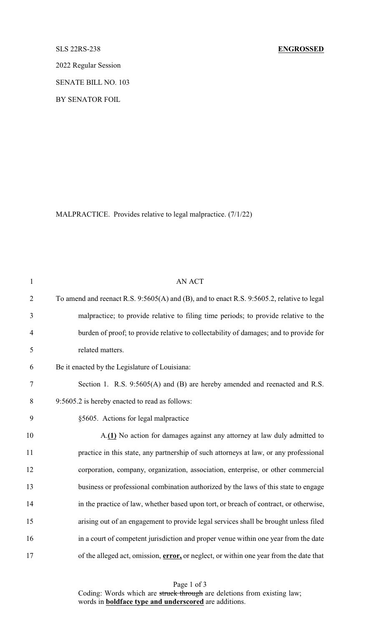2022 Regular Session

SENATE BILL NO. 103

BY SENATOR FOIL

MALPRACTICE. Provides relative to legal malpractice. (7/1/22)

| $\mathbf{1}$   | <b>AN ACT</b>                                                                              |
|----------------|--------------------------------------------------------------------------------------------|
| $\overline{2}$ | To amend and reenact R.S. 9:5605(A) and (B), and to enact R.S. 9:5605.2, relative to legal |
| 3              | malpractice; to provide relative to filing time periods; to provide relative to the        |
| $\overline{4}$ | burden of proof; to provide relative to collectability of damages; and to provide for      |
| 5              | related matters.                                                                           |
| 6              | Be it enacted by the Legislature of Louisiana:                                             |
| 7              | Section 1. R.S. 9:5605(A) and (B) are hereby amended and reenacted and R.S.                |
| $8\,$          | 9:5605.2 is hereby enacted to read as follows:                                             |
| 9              | §5605. Actions for legal malpractice                                                       |
| 10             | A.(1) No action for damages against any attorney at law duly admitted to                   |
| 11             | practice in this state, any partnership of such attorneys at law, or any professional      |
| 12             | corporation, company, organization, association, enterprise, or other commercial           |
| 13             | business or professional combination authorized by the laws of this state to engage        |
| 14             | in the practice of law, whether based upon tort, or breach of contract, or otherwise,      |
| 15             | arising out of an engagement to provide legal services shall be brought unless filed       |
| 16             | in a court of competent jurisdiction and proper venue within one year from the date        |
| 17             | of the alleged act, omission, error, or neglect, or within one year from the date that     |

Page 1 of 3 Coding: Words which are struck through are deletions from existing law; words in **boldface type and underscored** are additions.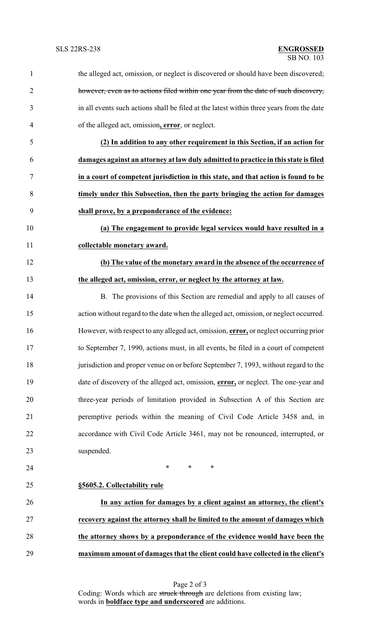| $\mathbf{1}$   | the alleged act, omission, or neglect is discovered or should have been discovered;         |
|----------------|---------------------------------------------------------------------------------------------|
| $\overline{2}$ | however, even as to actions filed within one year from the date of such discovery,          |
| 3              | in all events such actions shall be filed at the latest within three years from the date    |
| 4              | of the alleged act, omission, error, or neglect.                                            |
| 5              | (2) In addition to any other requirement in this Section, if an action for                  |
| 6              | damages against an attorney at law duly admitted to practice in this state is filed         |
| 7              | in a court of competent jurisdiction in this state, and that action is found to be          |
| 8              | timely under this Subsection, then the party bringing the action for damages                |
| 9              | shall prove, by a preponderance of the evidence:                                            |
| 10             | (a) The engagement to provide legal services would have resulted in a                       |
| 11             | collectable monetary award.                                                                 |
| 12             | (b) The value of the monetary award in the absence of the occurrence of                     |
| 13             | the alleged act, omission, error, or neglect by the attorney at law.                        |
| 14             | B. The provisions of this Section are remedial and apply to all causes of                   |
| 15             | action without regard to the date when the alleged act, omission, or neglect occurred.      |
| 16             | However, with respect to any alleged act, omission, error, or neglect occurring prior       |
| 17             | to September 7, 1990, actions must, in all events, be filed in a court of competent         |
| 18             | jurisdiction and proper venue on or before September 7, 1993, without regard to the         |
| 19             | date of discovery of the alleged act, omission, <b>error</b> , or neglect. The one-year and |
| 20             | three-year periods of limitation provided in Subsection A of this Section are               |
| 21             | peremptive periods within the meaning of Civil Code Article 3458 and, in                    |
| 22             | accordance with Civil Code Article 3461, may not be renounced, interrupted, or              |
| 23             | suspended.                                                                                  |
| 24             | $\ast$<br>$\ast$<br>∗                                                                       |
| 25             | §5605.2. Collectability rule                                                                |
| 26             | In any action for damages by a client against an attorney, the client's                     |
| 27             | recovery against the attorney shall be limited to the amount of damages which               |
| 28             | the attorney shows by a preponderance of the evidence would have been the                   |
| 29             | maximum amount of damages that the client could have collected in the client's              |
|                |                                                                                             |

Page 2 of 3 Coding: Words which are struck through are deletions from existing law; words in **boldface type and underscored** are additions.